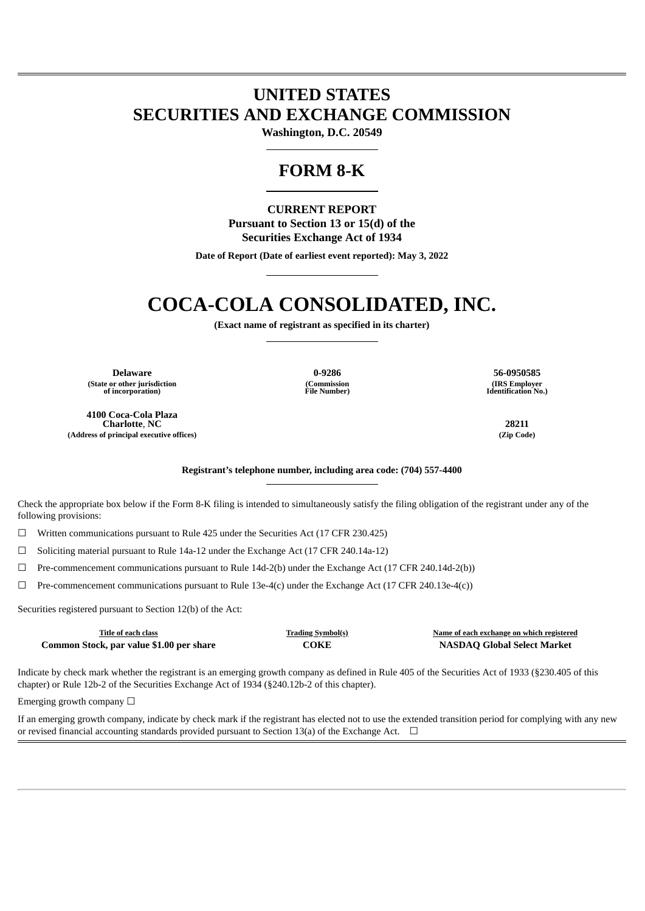# **UNITED STATES SECURITIES AND EXCHANGE COMMISSION**

**Washington, D.C. 20549**

# **FORM 8-K**

### **CURRENT REPORT Pursuant to Section 13 or 15(d) of the Securities Exchange Act of 1934**

**Date of Report (Date of earliest event reported): May 3, 2022**

# **COCA-COLA CONSOLIDATED, INC.**

**(Exact name of registrant as specified in its charter)**

**Delaware 0-9286 56-0950585 (State or other jurisdiction of incorporation)**

**4100 Coca-Cola Plaza Charlotte**, **NC 28211 (Address of principal executive offices) (Zip Code)**

**(Commission File Number)**

**(IRS Employer Identification No.)**

**Registrant's telephone number, including area code: (704) 557-4400**

Check the appropriate box below if the Form 8-K filing is intended to simultaneously satisfy the filing obligation of the registrant under any of the following provisions:

☐ Written communications pursuant to Rule 425 under the Securities Act (17 CFR 230.425)

☐ Soliciting material pursuant to Rule 14a-12 under the Exchange Act (17 CFR 240.14a-12)

 $\Box$  Pre-commencement communications pursuant to Rule 14d-2(b) under the Exchange Act (17 CFR 240.14d-2(b))

 $\Box$  Pre-commencement communications pursuant to Rule 13e-4(c) under the Exchange Act (17 CFR 240.13e-4(c))

Securities registered pursuant to Section 12(b) of the Act:

| Title of each class                      | <b>Trading Symbol(s)</b> | Name of each exchange on which registered |
|------------------------------------------|--------------------------|-------------------------------------------|
| Common Stock, par value \$1.00 per share | COKE                     | <b>NASDAQ Global Select Market</b>        |

Indicate by check mark whether the registrant is an emerging growth company as defined in Rule 405 of the Securities Act of 1933 (§230.405 of this chapter) or Rule 12b-2 of the Securities Exchange Act of 1934 (§240.12b-2 of this chapter).

Emerging growth company  $\Box$ 

If an emerging growth company, indicate by check mark if the registrant has elected not to use the extended transition period for complying with any new or revised financial accounting standards provided pursuant to Section 13(a) of the Exchange Act.  $\Box$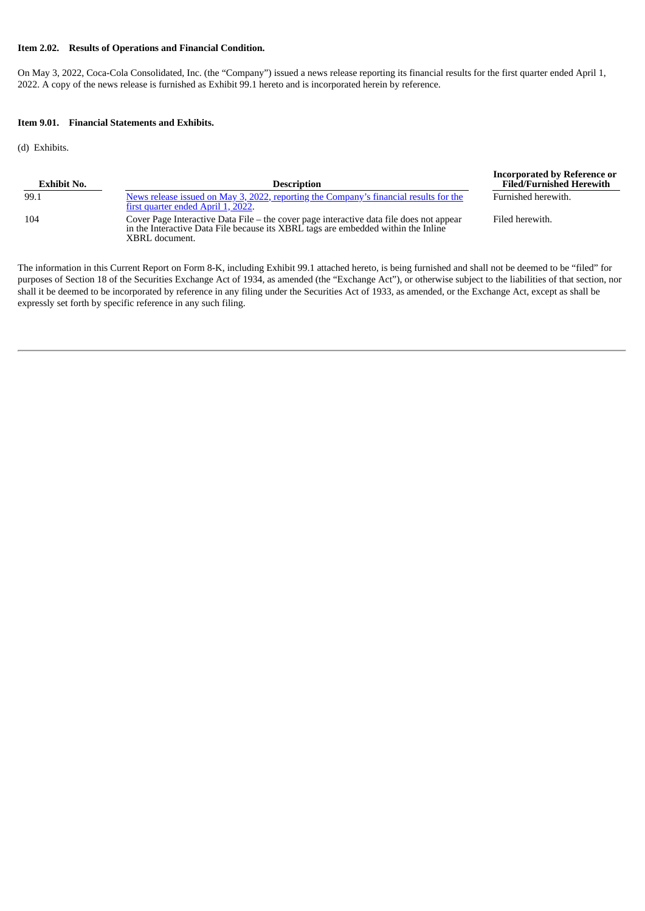#### **Item 2.02. Results of Operations and Financial Condition.**

On May 3, 2022, Coca-Cola Consolidated, Inc. (the "Company") issued a news release reporting its financial results for the first quarter ended April 1, 2022. A copy of the news release is furnished as Exhibit 99.1 hereto and is incorporated herein by reference.

#### **Item 9.01. Financial Statements and Exhibits.**

(d) Exhibits.

| <b>Exhibit No.</b> | <b>Description</b>                                                                                                                                                                             | <b>Filed/Furnished Herewith</b> |
|--------------------|------------------------------------------------------------------------------------------------------------------------------------------------------------------------------------------------|---------------------------------|
| 99.1               | News release issued on May 3, 2022, reporting the Company's financial results for the<br>first quarter ended April 1, 2022.                                                                    | Furnished herewith.             |
| 104                | Cover Page Interactive Data File – the cover page interactive data file does not appear<br>in the Interactive Data File because its XBRL tags are embedded within the Inline<br>XBRL document. | Filed herewith.                 |

**Incorporated by Reference or**

The information in this Current Report on Form 8-K, including Exhibit 99.1 attached hereto, is being furnished and shall not be deemed to be "filed" for purposes of Section 18 of the Securities Exchange Act of 1934, as amended (the "Exchange Act"), or otherwise subject to the liabilities of that section, nor shall it be deemed to be incorporated by reference in any filing under the Securities Act of 1933, as amended, or the Exchange Act, except as shall be expressly set forth by specific reference in any such filing.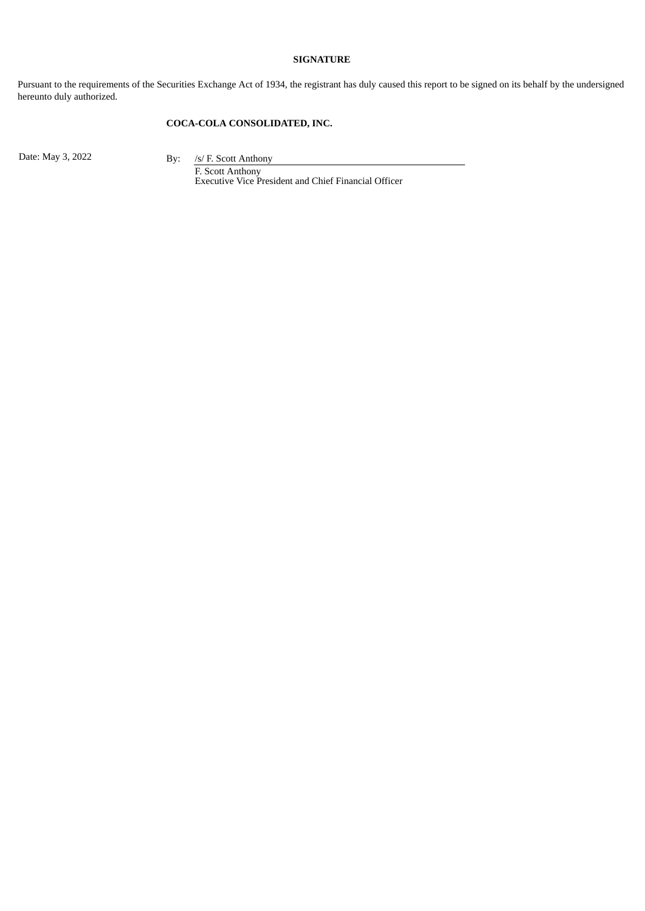#### **SIGNATURE**

Pursuant to the requirements of the Securities Exchange Act of 1934, the registrant has duly caused this report to be signed on its behalf by the undersigned hereunto duly authorized.

### **COCA-COLA CONSOLIDATED, INC.**

Date: May 3, 2022 By: /s/ F. Scott Anthony

F. Scott Anthony Executive Vice President and Chief Financial Officer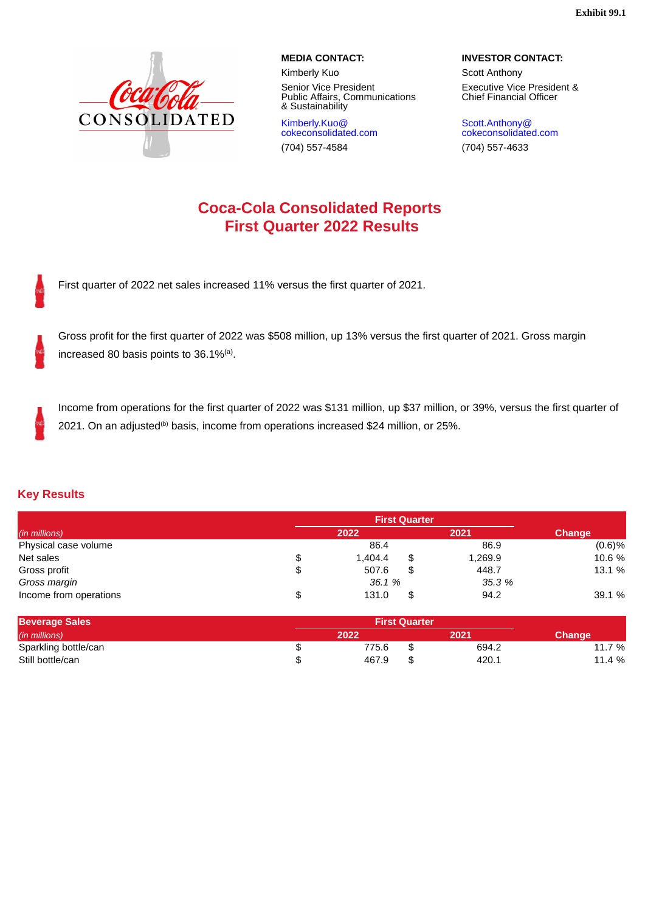**Exhibit 99.1**

<span id="page-3-0"></span>

Senior Vice President Public Affairs, Communications & Sustainability

Kimberly.Kuo@ cokeconsolidated.com

**MEDIA CONTACT: INVESTOR CONTACT:**

Kimberly Kuo Scott Anthony Executive Vice President & Chief Financial Officer

Scott.Anthony@ cokeconsolidated.com (704) 557-4584 (704) 557-4633

# **Coca-Cola Consolidated Reports First Quarter 2022 Results**

First quarter of 2022 net sales increased 11% versus the first quarter of 2021.

Gross profit for the first quarter of 2022 was \$508 million, up 13% versus the first quarter of 2021. Gross margin increased 80 basis points to  $36.1\%$ <sup>(a)</sup>.

Income from operations for the first quarter of 2022 was \$131 million, up \$37 million, or 39%, versus the first quarter of 2021. On an adjusted ${}^{(b)}$  basis, income from operations increased \$24 million, or 25%.

## **Key Results**

| (in millions)          |    | 2022    | 2021          | <b>Change</b> |
|------------------------|----|---------|---------------|---------------|
| Physical case volume   |    | 86.4    | 86.9          | (0.6)%        |
| Net sales              | \$ | 1.404.4 | \$<br>1,269.9 | 10.6 %        |
| Gross profit           | \$ | 507.6   | \$<br>448.7   | 13.1 %        |
| Gross margin           |    | 36.1 %  | 35.3 %        |               |
| Income from operations | \$ | 131.0   | \$<br>94.2    | 39.1 %        |

| <b>Beverage Sales</b> | <b>First Ouarter</b> |             |                |
|-----------------------|----------------------|-------------|----------------|
| (in millions)         | 2022                 | 2021        | <b>Change'</b> |
| Sparkling bottle/can  | 775.6                | \$<br>694.2 | 7 %<br>.       |
| Still bottle/can      | 467.9                | \$<br>420.⊥ | 11.4 %         |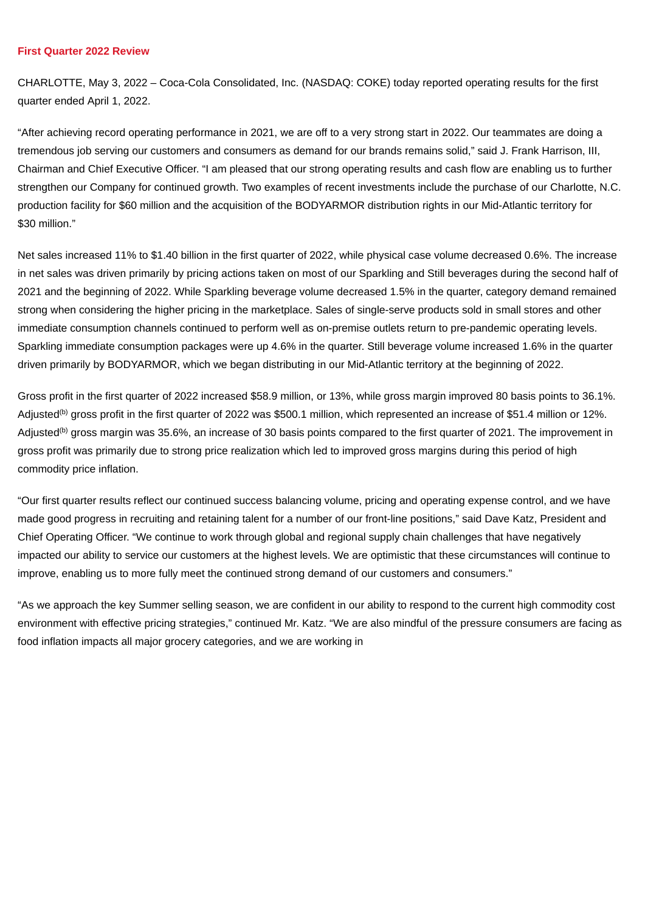#### **First Quarter 2022 Review**

CHARLOTTE, May 3, 2022 – Coca-Cola Consolidated, Inc. (NASDAQ: COKE) today reported operating results for the first quarter ended April 1, 2022.

"After achieving record operating performance in 2021, we are off to a very strong start in 2022. Our teammates are doing a tremendous job serving our customers and consumers as demand for our brands remains solid," said J. Frank Harrison, III, Chairman and Chief Executive Officer. "I am pleased that our strong operating results and cash flow are enabling us to further strengthen our Company for continued growth. Two examples of recent investments include the purchase of our Charlotte, N.C. production facility for \$60 million and the acquisition of the BODYARMOR distribution rights in our Mid-Atlantic territory for \$30 million."

Net sales increased 11% to \$1.40 billion in the first quarter of 2022, while physical case volume decreased 0.6%. The increase in net sales was driven primarily by pricing actions taken on most of our Sparkling and Still beverages during the second half of 2021 and the beginning of 2022. While Sparkling beverage volume decreased 1.5% in the quarter, category demand remained strong when considering the higher pricing in the marketplace. Sales of single-serve products sold in small stores and other immediate consumption channels continued to perform well as on-premise outlets return to pre-pandemic operating levels. Sparkling immediate consumption packages were up 4.6% in the quarter. Still beverage volume increased 1.6% in the quarter driven primarily by BODYARMOR, which we began distributing in our Mid-Atlantic territory at the beginning of 2022.

Gross profit in the first quarter of 2022 increased \$58.9 million, or 13%, while gross margin improved 80 basis points to 36.1%. Adjusted<sup>(b)</sup> gross profit in the first quarter of 2022 was \$500.1 million, which represented an increase of \$51.4 million or 12%. Adjusted<sup>(b)</sup> gross margin was 35.6%, an increase of 30 basis points compared to the first quarter of 2021. The improvement in gross profit was primarily due to strong price realization which led to improved gross margins during this period of high commodity price inflation.

"Our first quarter results reflect our continued success balancing volume, pricing and operating expense control, and we have made good progress in recruiting and retaining talent for a number of our front-line positions," said Dave Katz, President and Chief Operating Officer. "We continue to work through global and regional supply chain challenges that have negatively impacted our ability to service our customers at the highest levels. We are optimistic that these circumstances will continue to improve, enabling us to more fully meet the continued strong demand of our customers and consumers."

"As we approach the key Summer selling season, we are confident in our ability to respond to the current high commodity cost environment with effective pricing strategies," continued Mr. Katz. "We are also mindful of the pressure consumers are facing as food inflation impacts all major grocery categories, and we are working in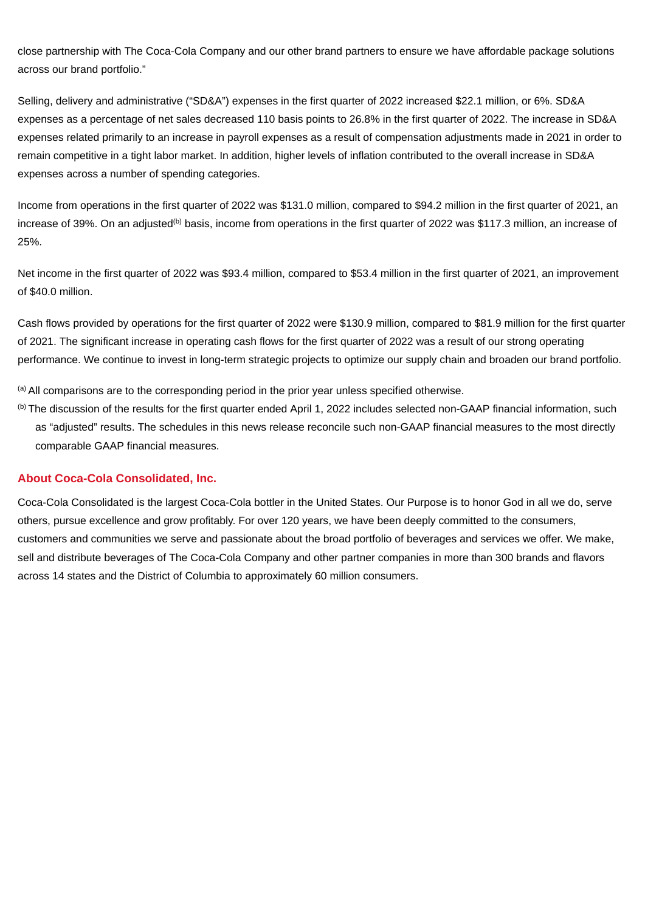close partnership with The Coca-Cola Company and our other brand partners to ensure we have affordable package solutions across our brand portfolio."

Selling, delivery and administrative ("SD&A") expenses in the first quarter of 2022 increased \$22.1 million, or 6%. SD&A expenses as a percentage of net sales decreased 110 basis points to 26.8% in the first quarter of 2022. The increase in SD&A expenses related primarily to an increase in payroll expenses as a result of compensation adjustments made in 2021 in order to remain competitive in a tight labor market. In addition, higher levels of inflation contributed to the overall increase in SD&A expenses across a number of spending categories.

Income from operations in the first quarter of 2022 was \$131.0 million, compared to \$94.2 million in the first quarter of 2021, an increase of 39%. On an adjusted<sup>(b)</sup> basis, income from operations in the first quarter of 2022 was \$117.3 million, an increase of 25%.

Net income in the first quarter of 2022 was \$93.4 million, compared to \$53.4 million in the first quarter of 2021, an improvement of \$40.0 million.

Cash flows provided by operations for the first quarter of 2022 were \$130.9 million, compared to \$81.9 million for the first quarter of 2021. The significant increase in operating cash flows for the first quarter of 2022 was a result of our strong operating performance. We continue to invest in long-term strategic projects to optimize our supply chain and broaden our brand portfolio.

 $<sup>(a)</sup>$  All comparisons are to the corresponding period in the prior year unless specified otherwise.</sup>

 $^{(b)}$  The discussion of the results for the first quarter ended April 1, 2022 includes selected non-GAAP financial information, such as "adjusted" results. The schedules in this news release reconcile such non-GAAP financial measures to the most directly comparable GAAP financial measures.

## **About Coca-Cola Consolidated, Inc.**

Coca-Cola Consolidated is the largest Coca-Cola bottler in the United States. Our Purpose is to honor God in all we do, serve others, pursue excellence and grow profitably. For over 120 years, we have been deeply committed to the consumers, customers and communities we serve and passionate about the broad portfolio of beverages and services we offer. We make, sell and distribute beverages of The Coca-Cola Company and other partner companies in more than 300 brands and flavors across 14 states and the District of Columbia to approximately 60 million consumers.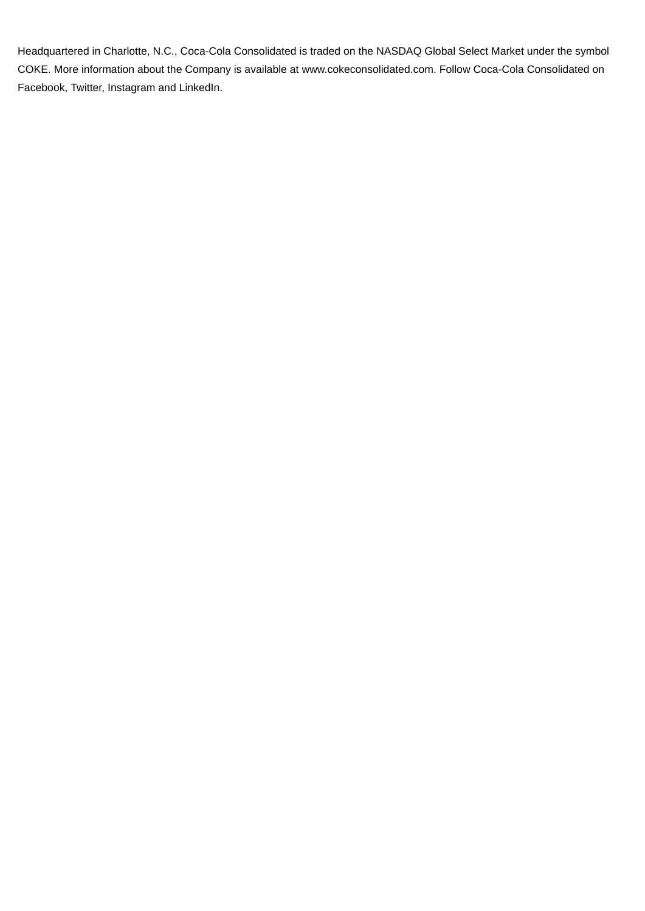Headquartered in Charlotte, N.C., Coca-Cola Consolidated is traded on the NASDAQ Global Select Market under the symbol COKE. More information about the Company is available at www.cokeconsolidated.com. Follow Coca‑Cola Consolidated on Facebook, Twitter, Instagram and LinkedIn.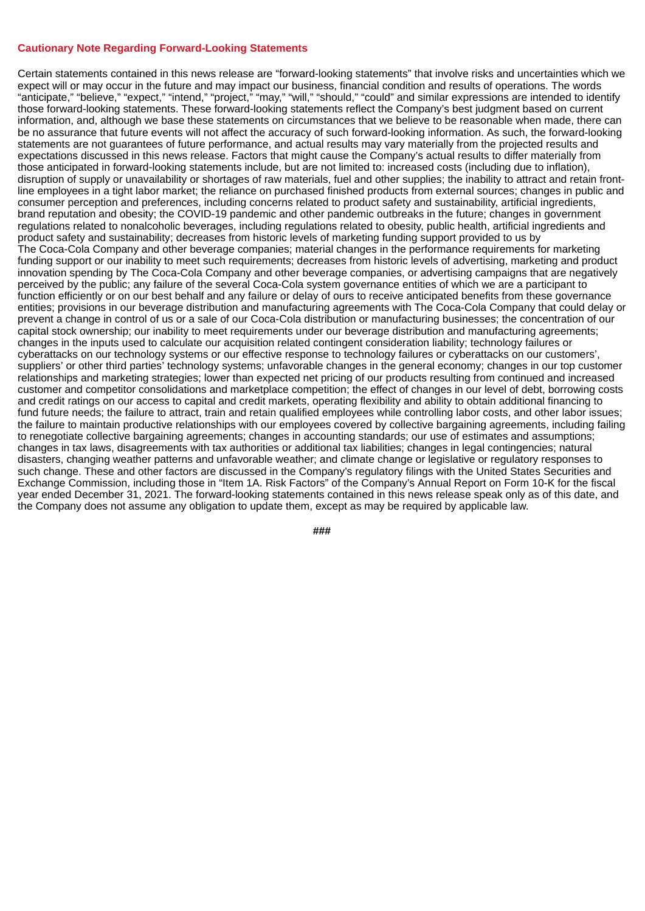#### **Cautionary Note Regarding Forward-Looking Statements**

Certain statements contained in this news release are "forward-looking statements" that involve risks and uncertainties which we expect will or may occur in the future and may impact our business, financial condition and results of operations. The words "anticipate," "believe," "expect," "intend," "project," "may," "will," "should," "could" and similar expressions are intended to identify those forward-looking statements. These forward-looking statements reflect the Company's best judgment based on current information, and, although we base these statements on circumstances that we believe to be reasonable when made, there can be no assurance that future events will not affect the accuracy of such forward-looking information. As such, the forward-looking statements are not guarantees of future performance, and actual results may vary materially from the projected results and expectations discussed in this news release. Factors that might cause the Company's actual results to differ materially from those anticipated in forward-looking statements include, but are not limited to: increased costs (including due to inflation), disruption of supply or unavailability or shortages of raw materials, fuel and other supplies; the inability to attract and retain frontline employees in a tight labor market; the reliance on purchased finished products from external sources; changes in public and consumer perception and preferences, including concerns related to product safety and sustainability, artificial ingredients, brand reputation and obesity; the COVID-19 pandemic and other pandemic outbreaks in the future; changes in government regulations related to nonalcoholic beverages, including regulations related to obesity, public health, artificial ingredients and product safety and sustainability; decreases from historic levels of marketing funding support provided to us by The Coca‑Cola Company and other beverage companies; material changes in the performance requirements for marketing funding support or our inability to meet such requirements; decreases from historic levels of advertising, marketing and product innovation spending by The Coca‑Cola Company and other beverage companies, or advertising campaigns that are negatively perceived by the public; any failure of the several Coca-Cola system governance entities of which we are a participant to function efficiently or on our best behalf and any failure or delay of ours to receive anticipated benefits from these governance entities; provisions in our beverage distribution and manufacturing agreements with The Coca‑Cola Company that could delay or prevent a change in control of us or a sale of our Coca-Cola distribution or manufacturing businesses; the concentration of our capital stock ownership; our inability to meet requirements under our beverage distribution and manufacturing agreements; changes in the inputs used to calculate our acquisition related contingent consideration liability; technology failures or cyberattacks on our technology systems or our effective response to technology failures or cyberattacks on our customers', suppliers' or other third parties' technology systems; unfavorable changes in the general economy; changes in our top customer relationships and marketing strategies; lower than expected net pricing of our products resulting from continued and increased customer and competitor consolidations and marketplace competition; the effect of changes in our level of debt, borrowing costs and credit ratings on our access to capital and credit markets, operating flexibility and ability to obtain additional financing to fund future needs; the failure to attract, train and retain qualified employees while controlling labor costs, and other labor issues; the failure to maintain productive relationships with our employees covered by collective bargaining agreements, including failing to renegotiate collective bargaining agreements; changes in accounting standards; our use of estimates and assumptions; changes in tax laws, disagreements with tax authorities or additional tax liabilities; changes in legal contingencies; natural disasters, changing weather patterns and unfavorable weather; and climate change or legislative or regulatory responses to such change. These and other factors are discussed in the Company's regulatory filings with the United States Securities and Exchange Commission, including those in "Item 1A. Risk Factors" of the Company's Annual Report on Form 10-K for the fiscal year ended December 31, 2021. The forward-looking statements contained in this news release speak only as of this date, and the Company does not assume any obligation to update them, except as may be required by applicable law.

**###**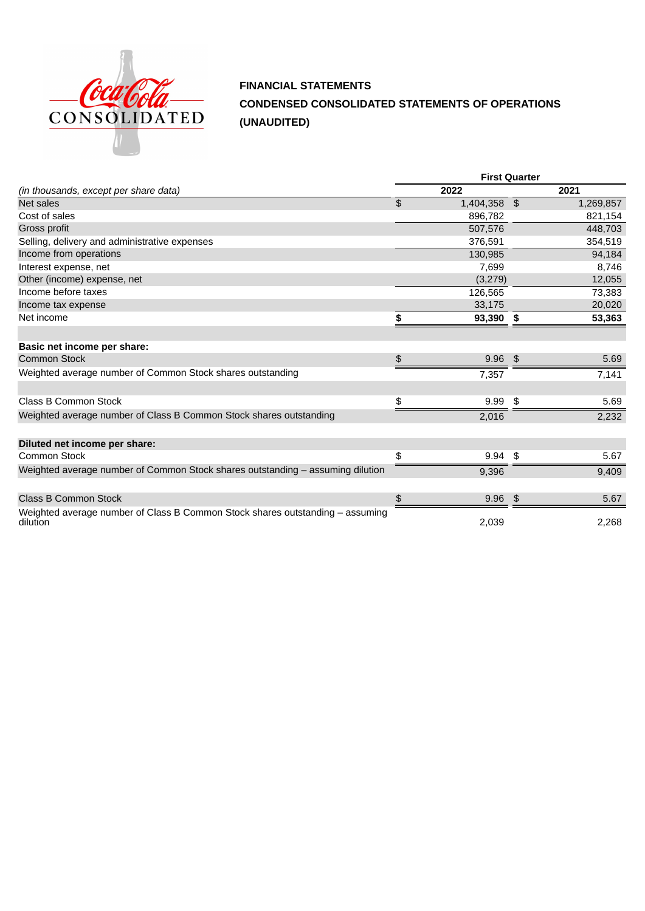

**FINANCIAL STATEMENTS CONDENSED CONSOLIDATED STATEMENTS OF OPERATIONS (UNAUDITED)**

|                                                                                           | <b>First Quarter</b> |              |    |           |  |  |
|-------------------------------------------------------------------------------------------|----------------------|--------------|----|-----------|--|--|
| (in thousands, except per share data)                                                     |                      | 2022         |    | 2021      |  |  |
| Net sales                                                                                 | \$                   | 1,404,358 \$ |    | 1,269,857 |  |  |
| Cost of sales                                                                             |                      | 896,782      |    | 821,154   |  |  |
| Gross profit                                                                              |                      | 507,576      |    | 448,703   |  |  |
| Selling, delivery and administrative expenses                                             |                      | 376,591      |    | 354,519   |  |  |
| Income from operations                                                                    |                      | 130,985      |    | 94,184    |  |  |
| Interest expense, net                                                                     |                      | 7,699        |    | 8,746     |  |  |
| Other (income) expense, net                                                               |                      | (3,279)      |    | 12,055    |  |  |
| Income before taxes                                                                       |                      | 126,565      |    | 73,383    |  |  |
| Income tax expense                                                                        |                      | 33,175       |    | 20,020    |  |  |
| Net income                                                                                | \$                   | 93,390       | \$ | 53,363    |  |  |
|                                                                                           |                      |              |    |           |  |  |
| Basic net income per share:                                                               |                      |              |    |           |  |  |
| <b>Common Stock</b>                                                                       | \$                   | 9.96         | \$ | 5.69      |  |  |
| Weighted average number of Common Stock shares outstanding                                |                      | 7,357        |    | 7,141     |  |  |
|                                                                                           |                      |              |    |           |  |  |
| Class B Common Stock                                                                      | \$                   | 9.99         | \$ | 5.69      |  |  |
| Weighted average number of Class B Common Stock shares outstanding                        |                      | 2,016        |    | 2,232     |  |  |
|                                                                                           |                      |              |    |           |  |  |
| Diluted net income per share:                                                             |                      |              |    |           |  |  |
| Common Stock                                                                              | \$                   | 9.94         | \$ | 5.67      |  |  |
| Weighted average number of Common Stock shares outstanding - assuming dilution            |                      | 9,396        |    | 9,409     |  |  |
|                                                                                           |                      |              |    |           |  |  |
| <b>Class B Common Stock</b>                                                               | \$                   | 9.96         | \$ | 5.67      |  |  |
| Weighted average number of Class B Common Stock shares outstanding – assuming<br>dilution |                      | 2,039        |    | 2,268     |  |  |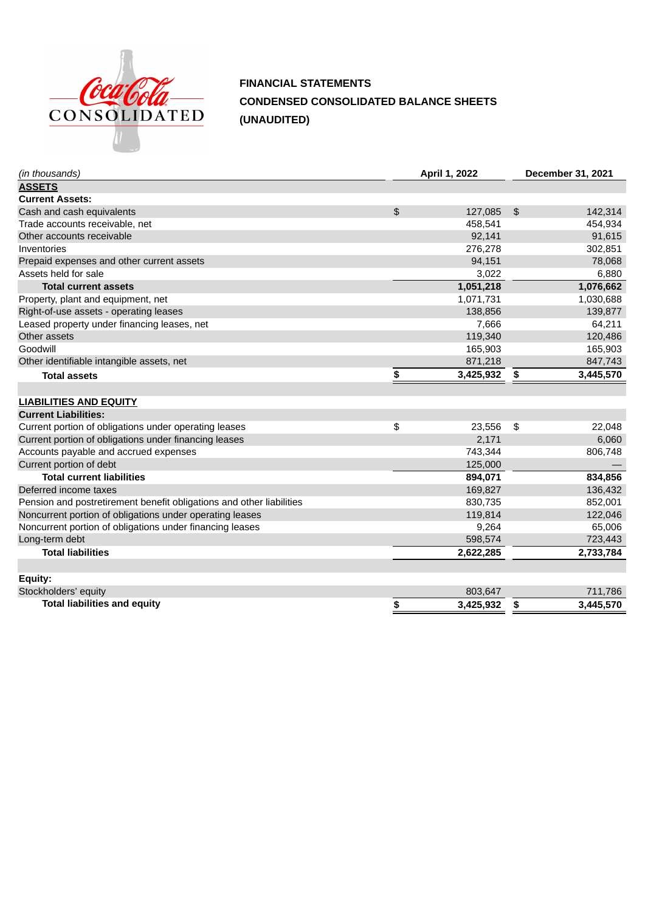

**FINANCIAL STATEMENTS CONDENSED CONSOLIDATED BALANCE SHEETS (UNAUDITED)**

| (in thousands)                                                       | April 1, 2022   | December 31, 2021 |           |  |  |  |
|----------------------------------------------------------------------|-----------------|-------------------|-----------|--|--|--|
| <b>ASSETS</b>                                                        |                 |                   |           |  |  |  |
| <b>Current Assets:</b>                                               |                 |                   |           |  |  |  |
| Cash and cash equivalents                                            | \$<br>127,085   | \$                | 142,314   |  |  |  |
| Trade accounts receivable, net                                       | 458,541         |                   | 454,934   |  |  |  |
| Other accounts receivable                                            | 92,141          |                   | 91,615    |  |  |  |
| Inventories                                                          | 276,278         |                   | 302,851   |  |  |  |
| Prepaid expenses and other current assets                            | 94,151          |                   | 78,068    |  |  |  |
| Assets held for sale                                                 | 3,022           |                   | 6,880     |  |  |  |
| <b>Total current assets</b>                                          | 1,051,218       |                   | 1,076,662 |  |  |  |
| Property, plant and equipment, net                                   | 1,071,731       |                   | 1,030,688 |  |  |  |
| Right-of-use assets - operating leases                               | 138,856         |                   | 139,877   |  |  |  |
| Leased property under financing leases, net                          | 7,666           |                   | 64,211    |  |  |  |
| Other assets                                                         | 119,340         |                   | 120,486   |  |  |  |
| Goodwill                                                             | 165,903         |                   | 165,903   |  |  |  |
| Other identifiable intangible assets, net                            | 871,218         |                   | 847,743   |  |  |  |
| <b>Total assets</b>                                                  | \$<br>3,425,932 | \$                | 3,445,570 |  |  |  |
|                                                                      |                 |                   |           |  |  |  |
| <b>LIABILITIES AND EQUITY</b>                                        |                 |                   |           |  |  |  |
| <b>Current Liabilities:</b>                                          |                 |                   |           |  |  |  |
| Current portion of obligations under operating leases                | \$<br>23,556    | \$                | 22,048    |  |  |  |
| Current portion of obligations under financing leases                | 2,171           |                   | 6,060     |  |  |  |
| Accounts payable and accrued expenses                                | 743,344         |                   | 806,748   |  |  |  |
| Current portion of debt                                              | 125,000         |                   |           |  |  |  |
| <b>Total current liabilities</b>                                     | 894,071         |                   | 834,856   |  |  |  |
| Deferred income taxes                                                | 169,827         |                   | 136,432   |  |  |  |
| Pension and postretirement benefit obligations and other liabilities | 830,735         |                   | 852,001   |  |  |  |
| Noncurrent portion of obligations under operating leases             | 119,814         |                   | 122,046   |  |  |  |
| Noncurrent portion of obligations under financing leases             | 9,264           |                   | 65,006    |  |  |  |
| Long-term debt                                                       | 598,574         |                   | 723,443   |  |  |  |
| <b>Total liabilities</b>                                             | 2,622,285       |                   | 2,733,784 |  |  |  |
| Equity:                                                              |                 |                   |           |  |  |  |
| Stockholders' equity                                                 | 803,647         |                   | 711,786   |  |  |  |
| <b>Total liabilities and equity</b>                                  | \$<br>3,425,932 |                   | 3,445,570 |  |  |  |
|                                                                      |                 | \$                |           |  |  |  |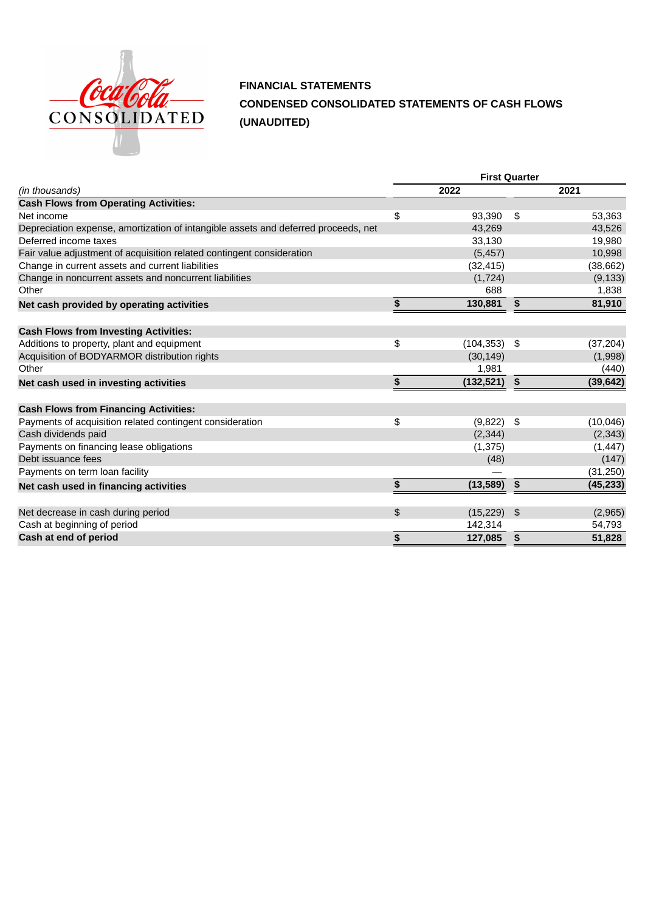

## **FINANCIAL STATEMENTS CONDENSED CONSOLIDATED STATEMENTS OF CASH FLOWS (UNAUDITED)**

|                                                                                    | <b>First Quarter</b> |            |      |           |  |  |  |  |
|------------------------------------------------------------------------------------|----------------------|------------|------|-----------|--|--|--|--|
| (in thousands)                                                                     |                      | 2022       | 2021 |           |  |  |  |  |
| <b>Cash Flows from Operating Activities:</b>                                       |                      |            |      |           |  |  |  |  |
| Net income                                                                         | \$                   | 93,390     | \$   | 53,363    |  |  |  |  |
| Depreciation expense, amortization of intangible assets and deferred proceeds, net |                      | 43,269     |      | 43,526    |  |  |  |  |
| Deferred income taxes                                                              |                      | 33,130     |      | 19,980    |  |  |  |  |
| Fair value adjustment of acquisition related contingent consideration              |                      | (5, 457)   |      | 10,998    |  |  |  |  |
| Change in current assets and current liabilities                                   |                      | (32, 415)  |      | (38, 662) |  |  |  |  |
| Change in noncurrent assets and noncurrent liabilities                             |                      | (1, 724)   |      | (9, 133)  |  |  |  |  |
| Other                                                                              |                      | 688        |      | 1,838     |  |  |  |  |
| Net cash provided by operating activities                                          | \$                   | 130,881    | \$   | 81,910    |  |  |  |  |
| <b>Cash Flows from Investing Activities:</b>                                       |                      |            |      |           |  |  |  |  |
| Additions to property, plant and equipment                                         | \$                   | (104, 353) | \$   | (37, 204) |  |  |  |  |
| Acquisition of BODYARMOR distribution rights                                       |                      | (30, 149)  |      | (1,998)   |  |  |  |  |
| Other                                                                              |                      | 1,981      |      | (440)     |  |  |  |  |
| Net cash used in investing activities                                              | \$                   | (132, 521) | \$   | (39, 642) |  |  |  |  |
| <b>Cash Flows from Financing Activities:</b>                                       |                      |            |      |           |  |  |  |  |
| Payments of acquisition related contingent consideration                           | \$                   | (9,822)    | \$   | (10, 046) |  |  |  |  |
| Cash dividends paid                                                                |                      | (2, 344)   |      | (2, 343)  |  |  |  |  |
| Payments on financing lease obligations                                            |                      | (1, 375)   |      | (1, 447)  |  |  |  |  |
| Debt issuance fees                                                                 |                      | (48)       |      | (147)     |  |  |  |  |
| Payments on term loan facility                                                     |                      |            |      | (31, 250) |  |  |  |  |
| Net cash used in financing activities                                              | \$                   | (13,589)   | \$   | (45, 233) |  |  |  |  |
| Net decrease in cash during period                                                 | \$                   | (15, 229)  | \$   | (2,965)   |  |  |  |  |
| Cash at beginning of period                                                        |                      | 142,314    |      | 54,793    |  |  |  |  |
| Cash at end of period                                                              | \$                   |            | \$   |           |  |  |  |  |
|                                                                                    |                      | 127,085    |      | 51,828    |  |  |  |  |